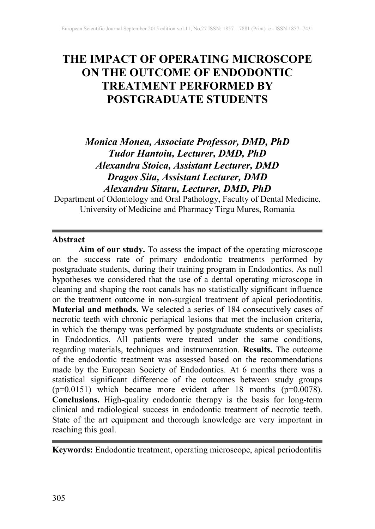# **THE IMPACT OF OPERATING MICROSCOPE ON THE OUTCOME OF ENDODONTIC TREATMENT PERFORMED BY POSTGRADUATE STUDENTS**

# *Monica Monea, Associate Professor, DMD, PhD Tudor Hantoiu, Lecturer, DMD, PhD Alexandra Stoica, Assistant Lecturer, DMD Dragos Sita, Assistant Lecturer, DMD Alexandru Sitaru, Lecturer, DMD, PhD*

Department of Odontology and Oral Pathology, Faculty of Dental Medicine, University of Medicine and Pharmacy Tirgu Mures, Romania

#### **Abstract**

**Aim of our study.** To assess the impact of the operating microscope on the success rate of primary endodontic treatments performed by postgraduate students, during their training program in Endodontics. As null hypotheses we considered that the use of a dental operating microscope in cleaning and shaping the root canals has no statistically significant influence on the treatment outcome in non-surgical treatment of apical periodontitis. **Material and methods.** We selected a series of 184 consecutively cases of necrotic teeth with chronic periapical lesions that met the inclusion criteria, in which the therapy was performed by postgraduate students or specialists in Endodontics. All patients were treated under the same conditions, regarding materials, techniques and instrumentation. **Results.** The outcome of the endodontic treatment was assessed based on the recommendations made by the European Society of Endodontics. At 6 months there was a statistical significant difference of the outcomes between study groups  $(p=0.0151)$  which became more evident after 18 months  $(p=0.0078)$ . **Conclusions.** High-quality endodontic therapy is the basis for long-term clinical and radiological success in endodontic treatment of necrotic teeth. State of the art equipment and thorough knowledge are very important in reaching this goal.

**Keywords:** Endodontic treatment, operating microscope, apical periodontitis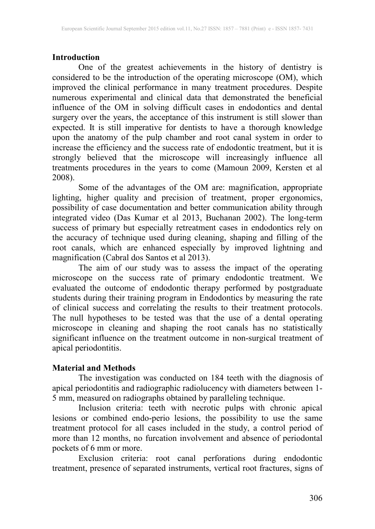### **Introduction**

One of the greatest achievements in the history of dentistry is considered to be the introduction of the operating microscope (OM), which improved the clinical performance in many treatment procedures. Despite numerous experimental and clinical data that demonstrated the beneficial influence of the OM in solving difficult cases in endodontics and dental surgery over the years, the acceptance of this instrument is still slower than expected. It is still imperative for dentists to have a thorough knowledge upon the anatomy of the pulp chamber and root canal system in order to increase the efficiency and the success rate of endodontic treatment, but it is strongly believed that the microscope will increasingly influence all treatments procedures in the years to come (Mamoun 2009, Kersten et al 2008).

Some of the advantages of the OM are: magnification, appropriate lighting, higher quality and precision of treatment, proper ergonomics, possibility of case documentation and better communication ability through integrated video (Das Kumar et al 2013, Buchanan 2002). The long-term success of primary but especially retreatment cases in endodontics rely on the accuracy of technique used during cleaning, shaping and filling of the root canals, which are enhanced especially by improved lightning and magnification (Cabral dos Santos et al 2013).

The aim of our study was to assess the impact of the operating microscope on the success rate of primary endodontic treatment. We evaluated the outcome of endodontic therapy performed by postgraduate students during their training program in Endodontics by measuring the rate of clinical success and correlating the results to their treatment protocols. The null hypotheses to be tested was that the use of a dental operating microscope in cleaning and shaping the root canals has no statistically significant influence on the treatment outcome in non-surgical treatment of apical periodontitis.

#### **Material and Methods**

The investigation was conducted on 184 teeth with the diagnosis of apical periodontitis and radiographic radiolucency with diameters between 1- 5 mm, measured on radiographs obtained by paralleling technique.

Inclusion criteria: teeth with necrotic pulps with chronic apical lesions or combined endo-perio lesions, the possibility to use the same treatment protocol for all cases included in the study, a control period of more than 12 months, no furcation involvement and absence of periodontal pockets of 6 mm or more.

Exclusion criteria: root canal perforations during endodontic treatment, presence of separated instruments, vertical root fractures, signs of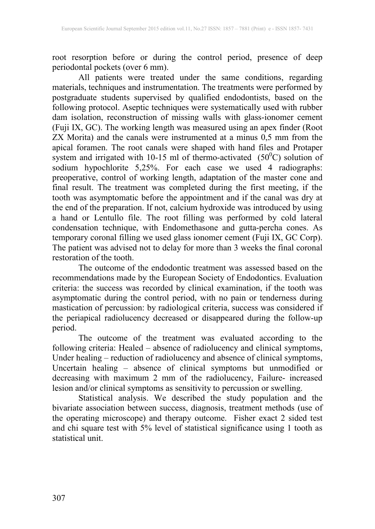root resorption before or during the control period, presence of deep periodontal pockets (over 6 mm).

All patients were treated under the same conditions, regarding materials, techniques and instrumentation. The treatments were performed by postgraduate students supervised by qualified endodontists, based on the following protocol. Aseptic techniques were systematically used with rubber dam isolation, reconstruction of missing walls with glass-ionomer cement (Fuji IX, GC). The working length was measured using an apex finder (Root ZX Morita) and the canals were instrumented at a minus 0,5 mm from the apical foramen. The root canals were shaped with hand files and Protaper system and irrigated with 10-15 ml of thermo-activated  $(50^{\circ}C)$  solution of sodium hypochlorite 5,25%. For each case we used 4 radiographs: preoperative, control of working length, adaptation of the master cone and final result. The treatment was completed during the first meeting, if the tooth was asymptomatic before the appointment and if the canal was dry at the end of the preparation. If not, calcium hydroxide was introduced by using a hand or Lentullo file. The root filling was performed by cold lateral condensation technique, with Endomethasone and gutta-percha cones. As temporary coronal filling we used glass ionomer cement (Fuji IX, GC Corp). The patient was advised not to delay for more than 3 weeks the final coronal restoration of the tooth.

The outcome of the endodontic treatment was assessed based on the recommendations made by the European Society of Endodontics. Evaluation criteria: the success was recorded by clinical examination, if the tooth was asymptomatic during the control period, with no pain or tenderness during mastication of percussion: by radiological criteria, success was considered if the periapical radiolucency decreased or disappeared during the follow-up period.

The outcome of the treatment was evaluated according to the following criteria: Healed – absence of radiolucency and clinical symptoms, Under healing – reduction of radiolucency and absence of clinical symptoms, Uncertain healing – absence of clinical symptoms but unmodified or decreasing with maximum 2 mm of the radiolucency, Failure- increased lesion and/or clinical symptoms as sensitivity to percussion or swelling.

Statistical analysis. We described the study population and the bivariate association between success, diagnosis, treatment methods (use of the operating microscope) and therapy outcome. Fisher exact 2 sided test and chi square test with 5% level of statistical significance using 1 tooth as statistical unit.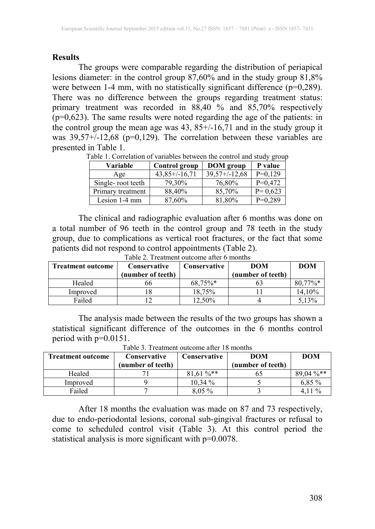#### **Results**

The groups were comparable regarding the distribution of periapical lesions diameter: in the control group 87,60% and in the study group 81,8% were between 1-4 mm, with no statistically significant difference  $(p=0,289)$ . There was no difference between the groups regarding treatment status: primary treatment was recorded in  $88,40\%$  and  $85,70\%$  respectively (p=0,623). The same results were noted regarding the age of the patients: in the control group the mean age was 43, 85+/-16,71 and in the study group it was  $39,57+/-12,68$  (p=0,129). The correlation between these variables are presented in Table 1.

| Variable          | Control group  | <b>DOM</b> group   | P value     |
|-------------------|----------------|--------------------|-------------|
| Age               | $43,85+/16,71$ | $39,57 + (-12,68)$ | $P=0,129$   |
| Single-root teeth | 79,30%         | 76,80%             | $P=0,472$   |
| Primary treatment | 88,40%         | 85,70%             | $P = 0,623$ |
| Lesion 1-4 mm     | 87,60%         | 81,80%             | $P=0,289$   |

Table 1. Correlation of variables between the control and study group

The clinical and radiographic evaluation after 6 months was done on a total number of 96 teeth in the control group and 78 teeth in the study group, due to complications as vertical root fractures, or the fact that some patients did not respond to control appointments (Table 2).

| <b>Treatment outcome</b> | Conservative      | Conservative | DOM               | <b>DOM</b> |
|--------------------------|-------------------|--------------|-------------------|------------|
|                          | (number of teeth) |              | (number of teeth) |            |
| Healed                   | no                | $68.75\%*$   |                   | 80,77%*    |
| Improved                 |                   | 18.75%       |                   | 14.10%     |
| Failed                   |                   | 12.50%       |                   | 5.13%      |

Table 2. Treatment outcome after 6 months

The analysis made between the results of the two groups has shown a statistical significant difference of the outcomes in the 6 months control period with p=0.0151.

| <b>Treatment outcome</b> | <b>Conservative</b> | <b>Conservative</b>     | <b>DOM</b>        | <b>DOM</b>  |  |  |  |
|--------------------------|---------------------|-------------------------|-------------------|-------------|--|--|--|
|                          | (number of teeth)   |                         | (number of teeth) |             |  |  |  |
| Healed                   |                     | $81.61\%$ <sup>**</sup> |                   | $89.04\%**$ |  |  |  |
| Improved                 |                     | $10.34\%$               |                   | $6.85\%$    |  |  |  |
| Failed                   |                     | $8,05\%$                |                   | 4 1 1 %     |  |  |  |

Table 3. Treatment outcome after 18 months

After 18 months the evaluation was made on 87 and 73 respectively, due to endo-periodontal lesions, coronal sub-gingival fractures or refusal to come to scheduled control visit (Table 3). At this control period the statistical analysis is more significant with  $p=0.0078$ .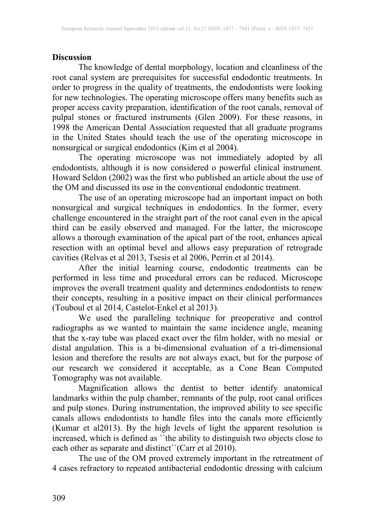#### **Discussion**

The knowledge of dental morphology, location and cleanliness of the root canal system are prerequisites for successful endodontic treatments. In order to progress in the quality of treatments, the endodontists were looking for new technologies. The operating microscope offers many benefits such as proper access cavity preparation, identification of the root canals, removal of pulpal stones or fractured instruments (Glen 2009). For these reasons, in 1998 the American Dental Association requested that all graduate programs in the United States should teach the use of the operating microscope in nonsurgical or surgical endodontics (Kim et al 2004).

The operating microscope was not immediately adopted by all endodontists, although it is now considered o powerful clinical instrument. Howard Seldon (2002) was the first who published an article about the use of the OM and discussed its use in the conventional endodontic treatment.

The use of an operating microscope had an important impact on both nonsurgical and surgical techniques in endodontics. In the former, every challenge encountered in the straight part of the root canal even in the apical third can be easily observed and managed. For the latter, the microscope allows a thorough examination of the apical part of the root, enhances apical resection with an optimal bevel and allows easy preparation of retrograde cavities (Relvas et al 2013, Tsesis et al 2006, Perrin et al 2014).

After the initial learning course, endodontic treatments can be performed in less time and procedural errors can be reduced. Microscope improves the overall treatment quality and determines endodontists to renew their concepts, resulting in a positive impact on their clinical performances (Touboul et al 2014, Castelot-Enkel et al 2013).

We used the paralleling technique for preoperative and control radiographs as we wanted to maintain the same incidence angle, meaning that the x-ray tube was placed exact over the film holder, with no mesial or distal angulation. This is a bi-dimensional evaluation of a tri-dimensional lesion and therefore the results are not always exact, but for the purpose of our research we considered it acceptable, as a Cone Bean Computed Tomography was not available.

Magnification allows the dentist to better identify anatomical landmarks within the pulp chamber, remnants of the pulp, root canal orifices and pulp stones. During instrumentation, the improved ability to see specific canals allows endodontists to handle files into the canals more efficiently (Kumar et al2013). By the high levels of light the apparent resolution is increased, which is defined as ``the ability to distinguish two objects close to each other as separate and distinct``(Carr et al 2010).

The use of the OM proved extremely important in the retreatment of 4 cases refractory to repeated antibacterial endodontic dressing with calcium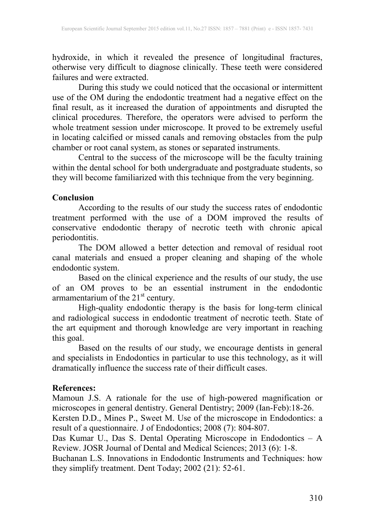hydroxide, in which it revealed the presence of longitudinal fractures, otherwise very difficult to diagnose clinically. These teeth were considered failures and were extracted.

During this study we could noticed that the occasional or intermittent use of the OM during the endodontic treatment had a negative effect on the final result, as it increased the duration of appointments and disrupted the clinical procedures. Therefore, the operators were advised to perform the whole treatment session under microscope. It proved to be extremely useful in locating calcified or missed canals and removing obstacles from the pulp chamber or root canal system, as stones or separated instruments.

Central to the success of the microscope will be the faculty training within the dental school for both undergraduate and postgraduate students, so they will become familiarized with this technique from the very beginning.

#### **Conclusion**

According to the results of our study the success rates of endodontic treatment performed with the use of a DOM improved the results of conservative endodontic therapy of necrotic teeth with chronic apical periodontitis.

The DOM allowed a better detection and removal of residual root canal materials and ensued a proper cleaning and shaping of the whole endodontic system.

Based on the clinical experience and the results of our study, the use of an OM proves to be an essential instrument in the endodontic armamentarium of the  $21<sup>st</sup>$  century.

High-quality endodontic therapy is the basis for long-term clinical and radiological success in endodontic treatment of necrotic teeth. State of the art equipment and thorough knowledge are very important in reaching this goal.

Based on the results of our study, we encourage dentists in general and specialists in Endodontics in particular to use this technology, as it will dramatically influence the success rate of their difficult cases.

## **References:**

Mamoun J.S. A rationale for the use of high-powered magnification or microscopes in general dentistry. General Dentistry; 2009 (Ian-Feb):18-26.

Kersten D.D., Mines P., Sweet M. Use of the microscope in Endodontics: a result of a questionnaire. J of Endodontics; 2008 (7): 804-807.

Das Kumar U., Das S. Dental Operating Microscope in Endodontics – A Review. JOSR Journal of Dental and Medical Sciences; 2013 (6): 1-8.

Buchanan L.S. Innovations in Endodontic Instruments and Techniques: how they simplify treatment. Dent Today; 2002 (21): 52-61.